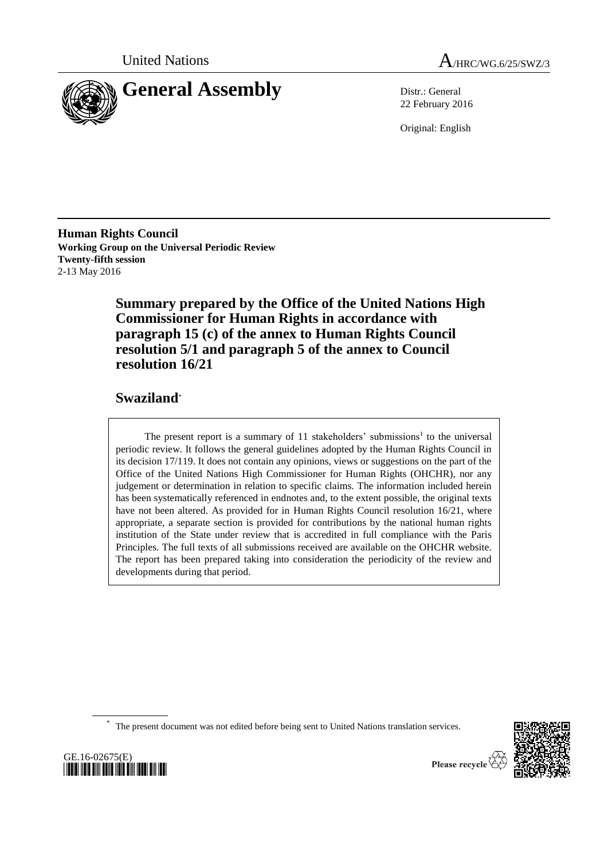



22 February 2016

Original: English

**Human Rights Council Working Group on the Universal Periodic Review Twenty-fifth session** 2-13 May 2016

> **Summary prepared by the Office of the United Nations High Commissioner for Human Rights in accordance with paragraph 15 (c) of the annex to Human Rights Council resolution 5/1 and paragraph 5 of the annex to Council resolution 16/21**

# **Swaziland**\*

The present report is a summary of  $11$  stakeholders' submissions<sup>1</sup> to the universal periodic review. It follows the general guidelines adopted by the Human Rights Council in its decision 17/119. It does not contain any opinions, views or suggestions on the part of the Office of the United Nations High Commissioner for Human Rights (OHCHR), nor any judgement or determination in relation to specific claims. The information included herein has been systematically referenced in endnotes and, to the extent possible, the original texts have not been altered. As provided for in Human Rights Council resolution 16/21, where appropriate, a separate section is provided for contributions by the national human rights institution of the State under review that is accredited in full compliance with the Paris Principles. The full texts of all submissions received are available on the OHCHR website. The report has been prepared taking into consideration the periodicity of the review and developments during that period.

\* The present document was not edited before being sent to United Nations translation services.



GE.16-02675(E) *\*1602675\**

Please recycle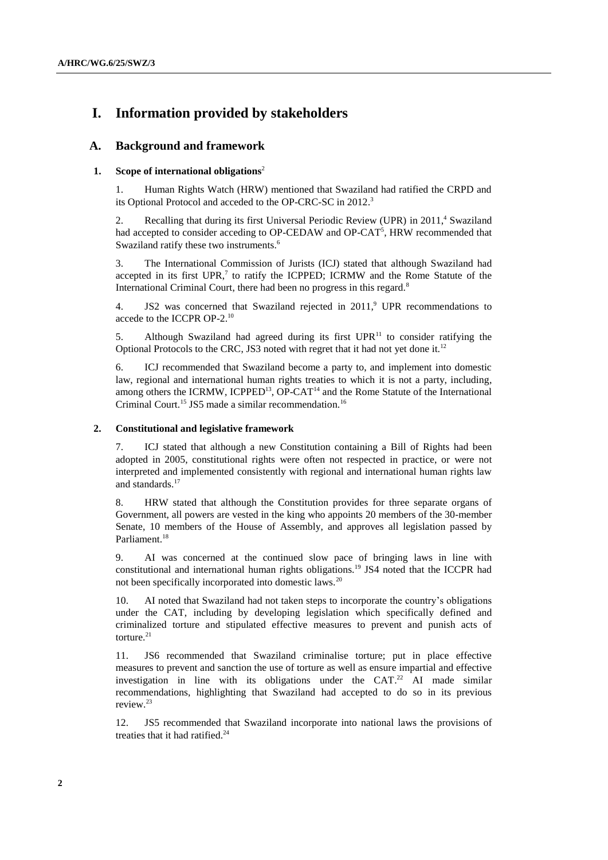# **I. Information provided by stakeholders**

# **A. Background and framework**

## **1. Scope of international obligations**<sup>2</sup>

1. Human Rights Watch (HRW) mentioned that Swaziland had ratified the CRPD and its Optional Protocol and acceded to the OP-CRC-SC in 2012.<sup>3</sup>

2. Recalling that during its first Universal Periodic Review (UPR) in 2011, $4$  Swaziland had accepted to consider acceding to OP-CEDAW and OP-CAT<sup>5</sup>, HRW recommended that Swaziland ratify these two instruments.<sup>6</sup>

3. The International Commission of Jurists (ICJ) stated that although Swaziland had accepted in its first  $UPR$ ,<sup>7</sup> to ratify the ICPPED; ICRMW and the Rome Statute of the International Criminal Court, there had been no progress in this regard.<sup>8</sup>

4. JS2 was concerned that Swaziland rejected in  $2011$ , UPR recommendations to accede to the ICCPR OP-2.<sup>10</sup>

5. Although Swaziland had agreed during its first  $UPR<sup>11</sup>$  to consider ratifying the Optional Protocols to the CRC, JS3 noted with regret that it had not yet done it.<sup>12</sup>

6. ICJ recommended that Swaziland become a party to, and implement into domestic law, regional and international human rights treaties to which it is not a party, including, among others the ICRMW, ICPPED<sup>13</sup>, OP-CAT<sup>14</sup> and the Rome Statute of the International Criminal Court.<sup>15</sup> JS5 made a similar recommendation.<sup>16</sup>

### **2. Constitutional and legislative framework**

7. ICJ stated that although a new Constitution containing a Bill of Rights had been adopted in 2005, constitutional rights were often not respected in practice, or were not interpreted and implemented consistently with regional and international human rights law and standards.<sup>17</sup>

8. HRW stated that although the Constitution provides for three separate organs of Government, all powers are vested in the king who appoints 20 members of the 30-member Senate, 10 members of the House of Assembly, and approves all legislation passed by Parliament.<sup>18</sup>

9. AI was concerned at the continued slow pace of bringing laws in line with constitutional and international human rights obligations.<sup>19</sup> JS4 noted that the ICCPR had not been specifically incorporated into domestic laws.<sup>20</sup>

10. AI noted that Swaziland had not taken steps to incorporate the country's obligations under the CAT, including by developing legislation which specifically defined and criminalized torture and stipulated effective measures to prevent and punish acts of torture.<sup>21</sup>

11. JS6 recommended that Swaziland criminalise torture; put in place effective measures to prevent and sanction the use of torture as well as ensure impartial and effective investigation in line with its obligations under the  $CAT.^{22}$  AI made similar recommendations, highlighting that Swaziland had accepted to do so in its previous review. 23

12. JS5 recommended that Swaziland incorporate into national laws the provisions of treaties that it had ratified. 24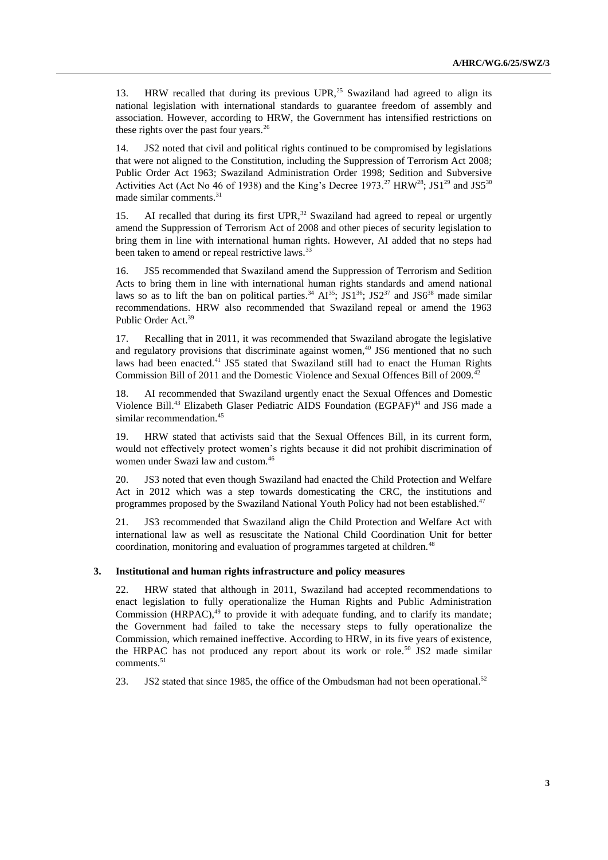13. HRW recalled that during its previous UPR,<sup>25</sup> Swaziland had agreed to align its national legislation with international standards to guarantee freedom of assembly and association. However, according to HRW, the Government has intensified restrictions on these rights over the past four years. $^{26}$ 

14. JS2 noted that civil and political rights continued to be compromised by legislations that were not aligned to the Constitution, including the Suppression of Terrorism Act 2008; Public Order Act 1963; Swaziland Administration Order 1998; Sedition and Subversive Activities Act (Act No 46 of 1938) and the King's Decree 1973.<sup>27</sup> HRW<sup>28</sup>; JS1<sup>29</sup> and JS5<sup>30</sup> made similar comments. 31

15. AI recalled that during its first  $UPR<sub>1</sub><sup>32</sup>$  Swaziland had agreed to repeal or urgently amend the Suppression of Terrorism Act of 2008 and other pieces of security legislation to bring them in line with international human rights. However, AI added that no steps had been taken to amend or repeal restrictive laws.<sup>33</sup>

16. JS5 recommended that Swaziland amend the Suppression of Terrorism and Sedition Acts to bring them in line with international human rights standards and amend national laws so as to lift the ban on political parties.<sup>34</sup>  $\text{Al}^{35}$ ; JS1<sup>36</sup>; JS2<sup>37</sup> and JS6<sup>38</sup> made similar recommendations. HRW also recommended that Swaziland repeal or amend the 1963 Public Order Act.<sup>39</sup>

17. Recalling that in 2011, it was recommended that Swaziland abrogate the legislative and regulatory provisions that discriminate against women,<sup>40</sup> JS6 mentioned that no such laws had been enacted.<sup>41</sup> JS5 stated that Swaziland still had to enact the Human Rights Commission Bill of 2011 and the Domestic Violence and Sexual Offences Bill of 2009.<sup>42</sup>

18. AI recommended that Swaziland urgently enact the Sexual Offences and Domestic Violence Bill.<sup>43</sup> Elizabeth Glaser Pediatric AIDS Foundation (EGPAF)<sup>44</sup> and JS6 made a similar recommendation.<sup>45</sup>

19. HRW stated that activists said that the Sexual Offences Bill, in its current form, would not effectively protect women's rights because it did not prohibit discrimination of women under Swazi law and custom.<sup>46</sup>

20. JS3 noted that even though Swaziland had enacted the Child Protection and Welfare Act in 2012 which was a step towards domesticating the CRC, the institutions and programmes proposed by the Swaziland National Youth Policy had not been established.<sup>47</sup>

21. JS3 recommended that Swaziland align the Child Protection and Welfare Act with international law as well as resuscitate the National Child Coordination Unit for better coordination, monitoring and evaluation of programmes targeted at children.<sup>48</sup>

## **3. Institutional and human rights infrastructure and policy measures**

22. HRW stated that although in 2011, Swaziland had accepted recommendations to enact legislation to fully operationalize the Human Rights and Public Administration Commission (HRPAC), <sup>49</sup> to provide it with adequate funding, and to clarify its mandate; the Government had failed to take the necessary steps to fully operationalize the Commission, which remained ineffective. According to HRW, in its five years of existence, the HRPAC has not produced any report about its work or role.<sup>50</sup> JS2 made similar comments.<sup>51</sup>

23. JS2 stated that since 1985, the office of the Ombudsman had not been operational.<sup>52</sup>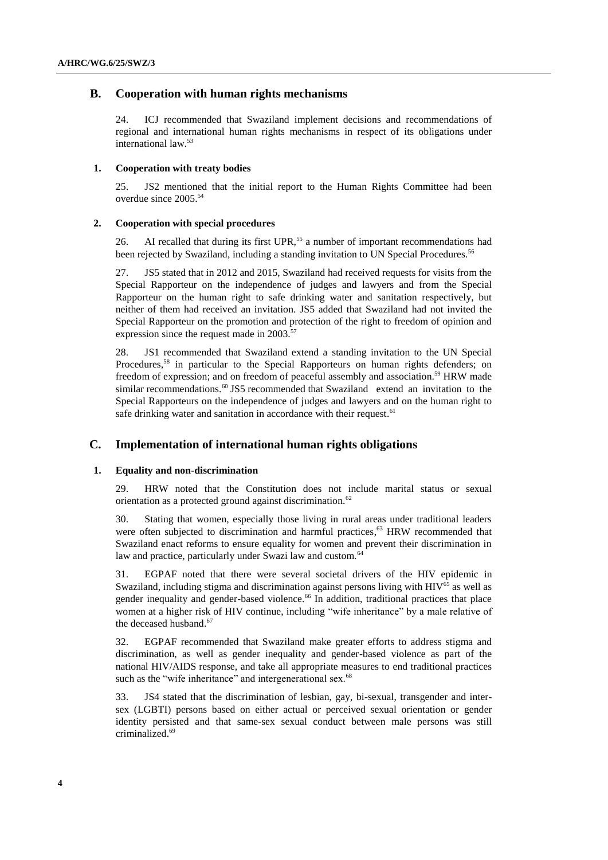# **B. Cooperation with human rights mechanisms**

24. ICJ recommended that Swaziland implement decisions and recommendations of regional and international human rights mechanisms in respect of its obligations under international law.<sup>53</sup>

#### **1. Cooperation with treaty bodies**

25. JS2 mentioned that the initial report to the Human Rights Committee had been overdue since 2005.<sup>54</sup>

#### **2. Cooperation with special procedures**

26. AI recalled that during its first UPR,<sup>55</sup> a number of important recommendations had been rejected by Swaziland, including a standing invitation to UN Special Procedures.<sup>56</sup>

27. JS5 stated that in 2012 and 2015, Swaziland had received requests for visits from the Special Rapporteur on the independence of judges and lawyers and from the Special Rapporteur on the human right to safe drinking water and sanitation respectively, but neither of them had received an invitation. JS5 added that Swaziland had not invited the Special Rapporteur on the promotion and protection of the right to freedom of opinion and expression since the request made in  $2003$ .<sup>57</sup>

28. JS1 recommended that Swaziland extend a standing invitation to the UN Special Procedures,<sup>58</sup> in particular to the Special Rapporteurs on human rights defenders; on freedom of expression; and on freedom of peaceful assembly and association.<sup>59</sup> HRW made similar recommendations.<sup>60</sup> JS5 recommended that Swaziland extend an invitation to the Special Rapporteurs on the independence of judges and lawyers and on the human right to safe drinking water and sanitation in accordance with their request.<sup>61</sup>

# **C. Implementation of international human rights obligations**

### **1. Equality and non-discrimination**

29. HRW noted that the Constitution does not include marital status or sexual orientation as a protected ground against discrimination.<sup>62</sup>

30. Stating that women, especially those living in rural areas under traditional leaders were often subjected to discrimination and harmful practices,<sup>63</sup> HRW recommended that Swaziland enact reforms to ensure equality for women and prevent their discrimination in law and practice, particularly under Swazi law and custom.<sup>64</sup>

31. EGPAF noted that there were several societal drivers of the HIV epidemic in Swaziland, including stigma and discrimination against persons living with HIV<sup>65</sup> as well as gender inequality and gender-based violence.<sup>66</sup> In addition, traditional practices that place women at a higher risk of HIV continue, including "wife inheritance" by a male relative of the deceased husband. 67

32. EGPAF recommended that Swaziland make greater efforts to address stigma and discrimination, as well as gender inequality and gender-based violence as part of the national HIV/AIDS response, and take all appropriate measures to end traditional practices such as the "wife inheritance" and intergenerational sex.<sup>68</sup>

33. JS4 stated that the discrimination of lesbian, gay, bi-sexual, transgender and intersex (LGBTI) persons based on either actual or perceived sexual orientation or gender identity persisted and that same-sex sexual conduct between male persons was still criminalized. 69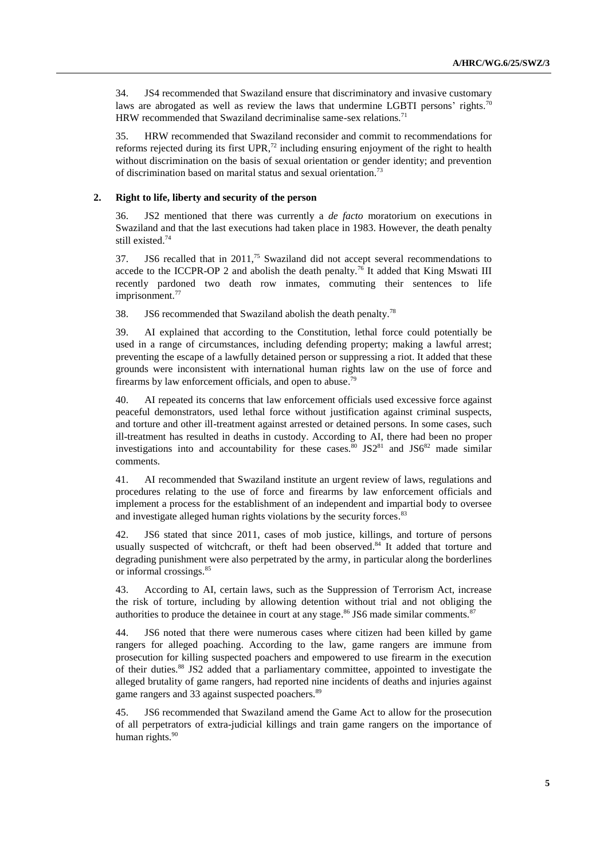34. JS4 recommended that Swaziland ensure that discriminatory and invasive customary laws are abrogated as well as review the laws that undermine LGBTI persons' rights.<sup>70</sup> HRW recommended that Swaziland decriminalise same-sex relations.<sup>71</sup>

35. HRW recommended that Swaziland reconsider and commit to recommendations for reforms rejected during its first  $UPR<sup>72</sup>$  including ensuring enjoyment of the right to health without discrimination on the basis of sexual orientation or gender identity; and prevention of discrimination based on marital status and sexual orientation.<sup>73</sup>

## **2. Right to life, liberty and security of the person**

36. JS2 mentioned that there was currently a *de facto* moratorium on executions in Swaziland and that the last executions had taken place in 1983. However, the death penalty still existed. 74

37. JS6 recalled that in  $2011<sup>75</sup>$  Swaziland did not accept several recommendations to accede to the ICCPR-OP 2 and abolish the death penalty.<sup>76</sup> It added that King Mswati III recently pardoned two death row inmates, commuting their sentences to life imprisonment. 77

38. JS6 recommended that Swaziland abolish the death penalty.<sup>78</sup>

39. AI explained that according to the Constitution, lethal force could potentially be used in a range of circumstances, including defending property; making a lawful arrest; preventing the escape of a lawfully detained person or suppressing a riot. It added that these grounds were inconsistent with international human rights law on the use of force and firearms by law enforcement officials, and open to abuse.<sup>79</sup>

40. AI repeated its concerns that law enforcement officials used excessive force against peaceful demonstrators, used lethal force without justification against criminal suspects, and torture and other ill-treatment against arrested or detained persons. In some cases, such ill-treatment has resulted in deaths in custody. According to AI, there had been no proper investigations into and accountability for these cases.<sup>80</sup> JS2<sup>81</sup> and JS6<sup>82</sup> made similar comments.

41. AI recommended that Swaziland institute an urgent review of laws, regulations and procedures relating to the use of force and firearms by law enforcement officials and implement a process for the establishment of an independent and impartial body to oversee and investigate alleged human rights violations by the security forces.<sup>83</sup>

42. JS6 stated that since 2011, cases of mob justice, killings, and torture of persons usually suspected of witchcraft, or theft had been observed.<sup>84</sup> It added that torture and degrading punishment were also perpetrated by the army, in particular along the borderlines or informal crossings.<sup>85</sup>

43. According to AI, certain laws, such as the Suppression of Terrorism Act, increase the risk of torture, including by allowing detention without trial and not obliging the authorities to produce the detainee in court at any stage.<sup>86</sup> JS6 made similar comments.<sup>87</sup>

44. JS6 noted that there were numerous cases where citizen had been killed by game rangers for alleged poaching. According to the law, game rangers are immune from prosecution for killing suspected poachers and empowered to use firearm in the execution of their duties. <sup>88</sup> JS2 added that a parliamentary committee, appointed to investigate the alleged brutality of game rangers, had reported nine incidents of deaths and injuries against game rangers and 33 against suspected poachers.<sup>89</sup>

45. JS6 recommended that Swaziland amend the Game Act to allow for the prosecution of all perpetrators of extra-judicial killings and train game rangers on the importance of human rights.<sup>90</sup>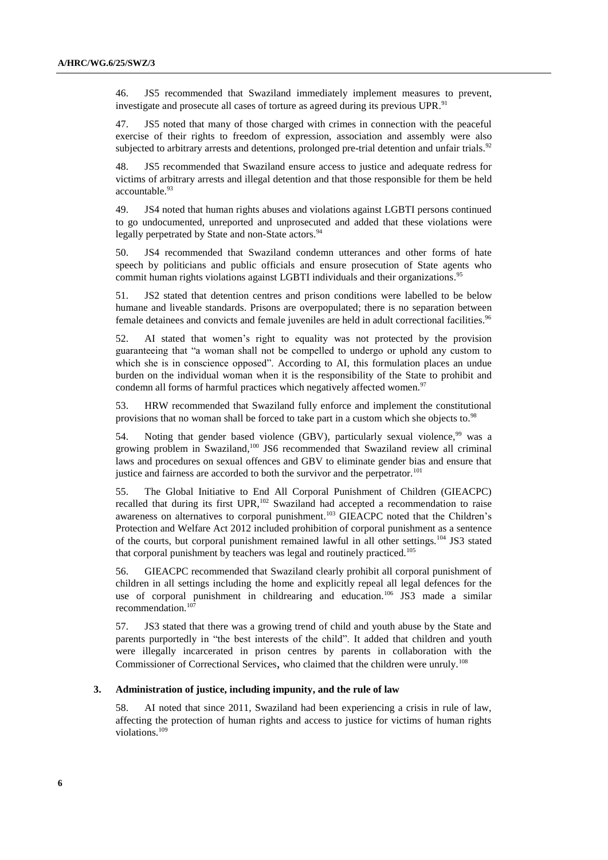46. JS5 recommended that Swaziland immediately implement measures to prevent, investigate and prosecute all cases of torture as agreed during its previous UPR.<sup>91</sup>

47. JS5 noted that many of those charged with crimes in connection with the peaceful exercise of their rights to freedom of expression, association and assembly were also subjected to arbitrary arrests and detentions, prolonged pre-trial detention and unfair trials.<sup>92</sup>

48. JS5 recommended that Swaziland ensure access to justice and adequate redress for victims of arbitrary arrests and illegal detention and that those responsible for them be held accountable.<sup>93</sup>

49. JS4 noted that human rights abuses and violations against LGBTI persons continued to go undocumented, unreported and unprosecuted and added that these violations were legally perpetrated by State and non-State actors.<sup>94</sup>

50. JS4 recommended that Swaziland condemn utterances and other forms of hate speech by politicians and public officials and ensure prosecution of State agents who commit human rights violations against LGBTI individuals and their organizations. 95

51. JS2 stated that detention centres and prison conditions were labelled to be below humane and liveable standards. Prisons are overpopulated; there is no separation between female detainees and convicts and female juveniles are held in adult correctional facilities. 96

52. AI stated that women's right to equality was not protected by the provision guaranteeing that "a woman shall not be compelled to undergo or uphold any custom to which she is in conscience opposed". According to AI, this formulation places an undue burden on the individual woman when it is the responsibility of the State to prohibit and condemn all forms of harmful practices which negatively affected women.<sup>97</sup>

53. HRW recommended that Swaziland fully enforce and implement the constitutional provisions that no woman shall be forced to take part in a custom which she objects to.<sup>98</sup>

54. Noting that gender based violence (GBV), particularly sexual violence,<sup>99</sup> was a growing problem in Swaziland, <sup>100</sup> JS6 recommended that Swaziland review all criminal laws and procedures on sexual offences and GBV to eliminate gender bias and ensure that justice and fairness are accorded to both the survivor and the perpetrator.<sup>101</sup>

55. The Global Initiative to End All Corporal Punishment of Children (GIEACPC) recalled that during its first UPR,<sup>102</sup> Swaziland had accepted a recommendation to raise awareness on alternatives to corporal punishment.<sup>103</sup> GIEACPC noted that the Children's Protection and Welfare Act 2012 included prohibition of corporal punishment as a sentence of the courts, but corporal punishment remained lawful in all other settings.<sup>104</sup> JS3 stated that corporal punishment by teachers was legal and routinely practiced.<sup>105</sup>

56. GIEACPC recommended that Swaziland clearly prohibit all corporal punishment of children in all settings including the home and explicitly repeal all legal defences for the use of corporal punishment in childrearing and education.<sup>106</sup> JS3 made a similar recommendation.<sup>10</sup>

57. JS3 stated that there was a growing trend of child and youth abuse by the State and parents purportedly in "the best interests of the child". It added that children and youth were illegally incarcerated in prison centres by parents in collaboration with the Commissioner of Correctional Services, who claimed that the children were unruly.<sup>108</sup>

### **3. Administration of justice, including impunity, and the rule of law**

58. AI noted that since 2011, Swaziland had been experiencing a crisis in rule of law, affecting the protection of human rights and access to justice for victims of human rights violations.<sup>109</sup>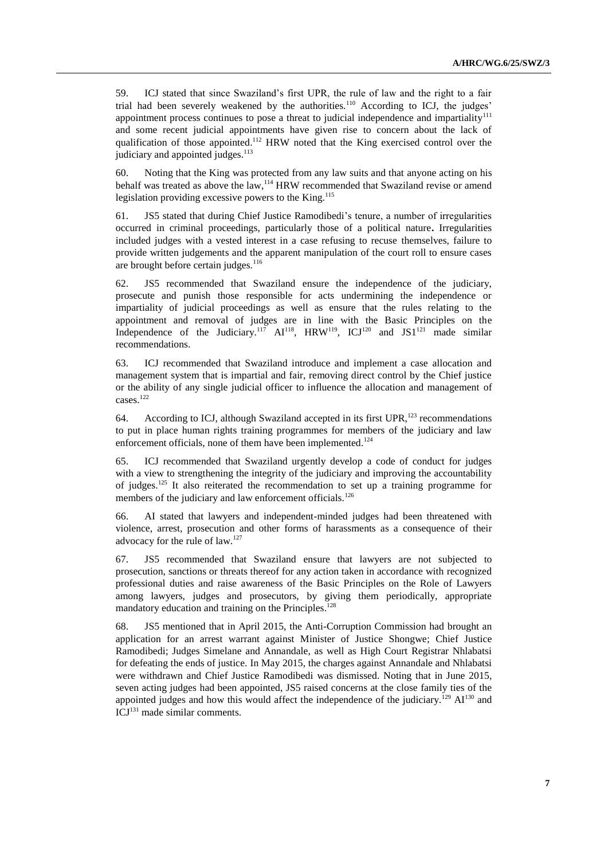59. ICJ stated that since Swaziland's first UPR, the rule of law and the right to a fair trial had been severely weakened by the authorities.<sup>110</sup> According to ICJ, the judges' appointment process continues to pose a threat to judicial independence and impartiality<sup>111</sup> and some recent judicial appointments have given rise to concern about the lack of qualification of those appointed.<sup>112</sup> HRW noted that the King exercised control over the judiciary and appointed judges.<sup>113</sup>

60. Noting that the King was protected from any law suits and that anyone acting on his behalf was treated as above the law, <sup>114</sup> HRW recommended that Swaziland revise or amend legislation providing excessive powers to the King.<sup>115</sup>

61. JS5 stated that during Chief Justice Ramodibedi's tenure, a number of irregularities occurred in criminal proceedings, particularly those of a political nature**.** Irregularities included judges with a vested interest in a case refusing to recuse themselves, failure to provide written judgements and the apparent manipulation of the court roll to ensure cases are brought before certain judges. $116$ 

62. JS5 recommended that Swaziland ensure the independence of the judiciary, prosecute and punish those responsible for acts undermining the independence or impartiality of judicial proceedings as well as ensure that the rules relating to the appointment and removal of judges are in line with the Basic Principles on the Independence of the Judiciary.<sup>117</sup>  $AI^{118}$ , HRW<sup>119</sup>, ICJ<sup>120</sup> and JS1<sup>121</sup> made similar recommendations.

63. ICJ recommended that Swaziland introduce and implement a case allocation and management system that is impartial and fair, removing direct control by the Chief justice or the ability of any single judicial officer to influence the allocation and management of cases.<sup>122</sup>

64. According to ICJ, although Swaziland accepted in its first UPR,<sup>123</sup> recommendations to put in place human rights training programmes for members of the judiciary and law enforcement officials, none of them have been implemented.<sup>124</sup>

65. ICJ recommended that Swaziland urgently develop a code of conduct for judges with a view to strengthening the integrity of the judiciary and improving the accountability of judges.<sup>125</sup> It also reiterated the recommendation to set up a training programme for members of the judiciary and law enforcement officials.<sup>126</sup>

66. AI stated that lawyers and independent-minded judges had been threatened with violence, arrest, prosecution and other forms of harassments as a consequence of their advocacy for the rule of law.<sup>127</sup>

67. JS5 recommended that Swaziland ensure that lawyers are not subjected to prosecution, sanctions or threats thereof for any action taken in accordance with recognized professional duties and raise awareness of the Basic Principles on the Role of Lawyers among lawyers, judges and prosecutors, by giving them periodically, appropriate mandatory education and training on the Principles.<sup>128</sup>

68. JS5 mentioned that in April 2015, the Anti-Corruption Commission had brought an application for an arrest warrant against Minister of Justice Shongwe; Chief Justice Ramodibedi; Judges Simelane and Annandale, as well as High Court Registrar Nhlabatsi for defeating the ends of justice. In May 2015, the charges against Annandale and Nhlabatsi were withdrawn and Chief Justice Ramodibedi was dismissed. Noting that in June 2015, seven acting judges had been appointed, JS5 raised concerns at the close family ties of the appointed judges and how this would affect the independence of the judiciary.<sup>129</sup>  $AI<sup>130</sup>$  and ICJ<sup>131</sup> made similar comments.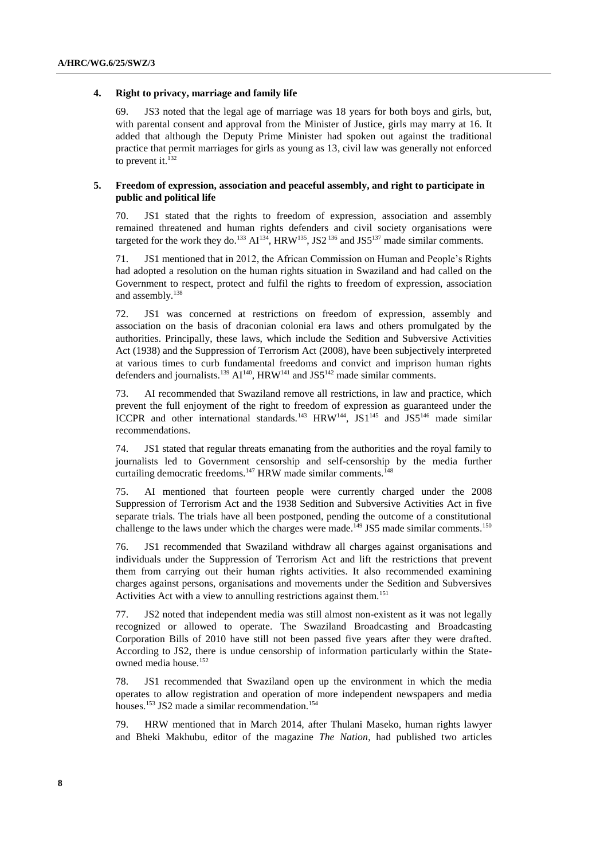### **4. Right to privacy, marriage and family life**

69. JS3 noted that the legal age of marriage was 18 years for both boys and girls, but, with parental consent and approval from the Minister of Justice, girls may marry at 16. It added that although the Deputy Prime Minister had spoken out against the traditional practice that permit marriages for girls as young as 13, civil law was generally not enforced to prevent it.<sup>132</sup>

## **5. Freedom of expression, association and peaceful assembly, and right to participate in public and political life**

70. JS1 stated that the rights to freedom of expression, association and assembly remained threatened and human rights defenders and civil society organisations were targeted for the work they do.<sup>133</sup>  $AI^{134}$ , HRW<sup>135</sup>, JS2<sup>136</sup> and JS5<sup>137</sup> made similar comments.

71. JS1 mentioned that in 2012, the African Commission on Human and People's Rights had adopted a resolution on the human rights situation in Swaziland and had called on the Government to respect, protect and fulfil the rights to freedom of expression, association and assembly.<sup>138</sup>

72. JS1 was concerned at restrictions on freedom of expression, assembly and association on the basis of draconian colonial era laws and others promulgated by the authorities. Principally, these laws, which include the Sedition and Subversive Activities Act (1938) and the Suppression of Terrorism Act (2008), have been subjectively interpreted at various times to curb fundamental freedoms and convict and imprison human rights defenders and journalists.<sup>139</sup> AI<sup>140</sup>, HRW<sup>141</sup> and JS5<sup>142</sup> made similar comments.

73. AI recommended that Swaziland remove all restrictions, in law and practice, which prevent the full enjoyment of the right to freedom of expression as guaranteed under the ICCPR and other international standards.<sup>143</sup> HRW<sup>144</sup>, JS1<sup>145</sup> and JS5<sup>146</sup> made similar recommendations.

74. JS1 stated that regular threats emanating from the authorities and the royal family to journalists led to Government censorship and self-censorship by the media further curtailing democratic freedoms.<sup>147</sup> HRW made similar comments.<sup>148</sup>

75. AI mentioned that fourteen people were currently charged under the 2008 Suppression of Terrorism Act and the 1938 Sedition and Subversive Activities Act in five separate trials. The trials have all been postponed, pending the outcome of a constitutional challenge to the laws under which the charges were made.<sup>149</sup> JS5 made similar comments.<sup>150</sup>

76. JS1 recommended that Swaziland withdraw all charges against organisations and individuals under the Suppression of Terrorism Act and lift the restrictions that prevent them from carrying out their human rights activities. It also recommended examining charges against persons, organisations and movements under the Sedition and Subversives Activities Act with a view to annulling restrictions against them.<sup>151</sup>

77. JS2 noted that independent media was still almost non-existent as it was not legally recognized or allowed to operate. The Swaziland Broadcasting and Broadcasting Corporation Bills of 2010 have still not been passed five years after they were drafted. According to JS2, there is undue censorship of information particularly within the Stateowned media house.<sup>152</sup>

78. JS1 recommended that Swaziland open up the environment in which the media operates to allow registration and operation of more independent newspapers and media houses.<sup>153</sup> JS2 made a similar recommendation.<sup>154</sup>

79. HRW mentioned that in March 2014, after Thulani Maseko, human rights lawyer and Bheki Makhubu, editor of the magazine *The Nation*, had published two articles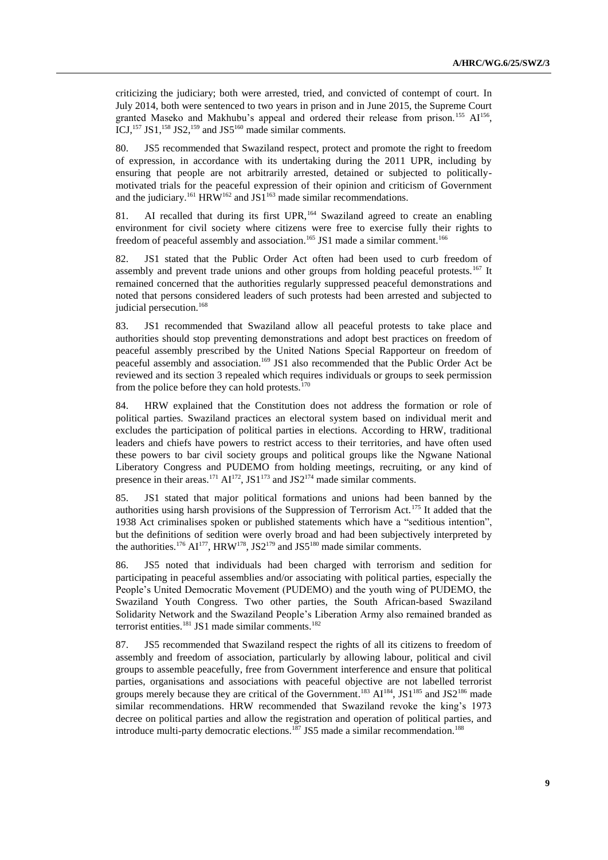criticizing the judiciary; both were arrested, tried, and convicted of contempt of court. In July 2014, both were sentenced to two years in prison and in June 2015, the Supreme Court granted Maseko and Makhubu's appeal and ordered their release from prison.<sup>155</sup> AI<sup>156</sup>, ICJ,<sup>157</sup> JS1,<sup>158</sup> JS2,<sup>159</sup> and JS5<sup>160</sup> made similar comments.

80. JS5 recommended that Swaziland respect, protect and promote the right to freedom of expression, in accordance with its undertaking during the 2011 UPR, including by ensuring that people are not arbitrarily arrested, detained or subjected to politicallymotivated trials for the peaceful expression of their opinion and criticism of Government and the judiciary.<sup>161</sup> HRW<sup>162</sup> and JS1<sup>163</sup> made similar recommendations.

81. AI recalled that during its first  $UPR$ ,<sup>164</sup> Swaziland agreed to create an enabling environment for civil society where citizens were free to exercise fully their rights to freedom of peaceful assembly and association.<sup>165</sup> JS1 made a similar comment.<sup>166</sup>

82. JS1 stated that the Public Order Act often had been used to curb freedom of assembly and prevent trade unions and other groups from holding peaceful protests.<sup>167</sup> It remained concerned that the authorities regularly suppressed peaceful demonstrations and noted that persons considered leaders of such protests had been arrested and subjected to judicial persecution. 168

83. JS1 recommended that Swaziland allow all peaceful protests to take place and authorities should stop preventing demonstrations and adopt best practices on freedom of peaceful assembly prescribed by the United Nations Special Rapporteur on freedom of peaceful assembly and association.<sup>169</sup> JS1 also recommended that the Public Order Act be reviewed and its section 3 repealed which requires individuals or groups to seek permission from the police before they can hold protests. $170$ 

84. HRW explained that the Constitution does not address the formation or role of political parties. Swaziland practices an electoral system based on individual merit and excludes the participation of political parties in elections. According to HRW, traditional leaders and chiefs have powers to restrict access to their territories, and have often used these powers to bar civil society groups and political groups like the Ngwane National Liberatory Congress and PUDEMO from holding meetings, recruiting, or any kind of presence in their areas.<sup>171</sup>  $AI^{172}$ , JS1<sup>173</sup> and JS2<sup>174</sup> made similar comments.

85. JS1 stated that major political formations and unions had been banned by the authorities using harsh provisions of the Suppression of Terrorism Act.<sup>175</sup> It added that the 1938 Act criminalises spoken or published statements which have a "seditious intention", but the definitions of sedition were overly broad and had been subjectively interpreted by the authorities.<sup>176</sup> AI<sup>177</sup>, HRW<sup>178</sup>, JS2<sup>179</sup> and JS5<sup>180</sup> made similar comments.

86. JS5 noted that individuals had been charged with terrorism and sedition for participating in peaceful assemblies and/or associating with political parties, especially the People's United Democratic Movement (PUDEMO) and the youth wing of PUDEMO, the Swaziland Youth Congress. Two other parties, the South African-based Swaziland Solidarity Network and the Swaziland People's Liberation Army also remained branded as terrorist entities.<sup>181</sup> JS1 made similar comments.<sup>182</sup>

87. JS5 recommended that Swaziland respect the rights of all its citizens to freedom of assembly and freedom of association, particularly by allowing labour, political and civil groups to assemble peacefully, free from Government interference and ensure that political parties, organisations and associations with peaceful objective are not labelled terrorist groups merely because they are critical of the Government.<sup>183</sup>  $AI^{184}$ , JS1<sup>185</sup> and JS2<sup>186</sup> made similar recommendations. HRW recommended that Swaziland revoke the king's 1973 decree on political parties and allow the registration and operation of political parties, and introduce multi-party democratic elections.<sup>187</sup> JS5 made a similar recommendation.<sup>188</sup>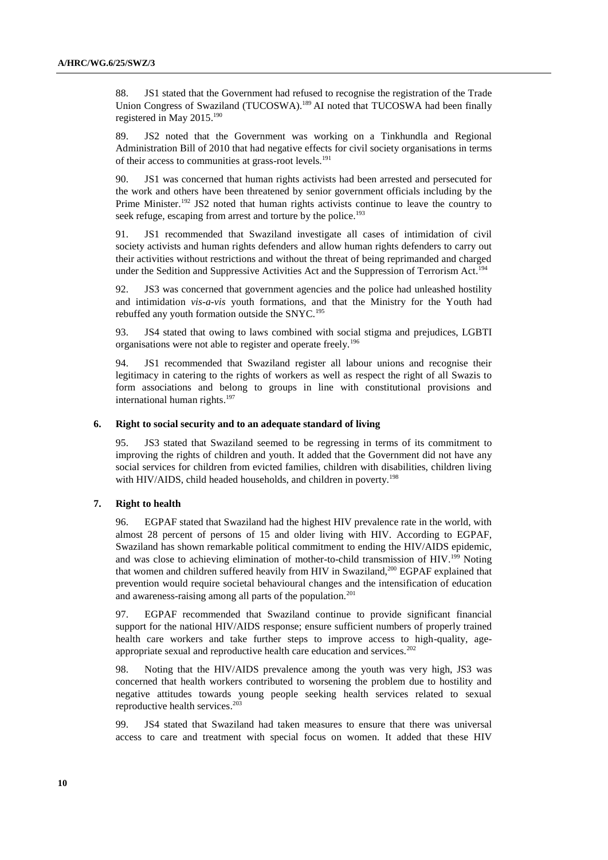88. JS1 stated that the Government had refused to recognise the registration of the Trade Union Congress of Swaziland (TUCOSWA).<sup>189</sup> AI noted that TUCOSWA had been finally registered in May 2015.<sup>190</sup>

89. JS2 noted that the Government was working on a Tinkhundla and Regional Administration Bill of 2010 that had negative effects for civil society organisations in terms of their access to communities at grass-root levels.<sup>191</sup>

90. JS1 was concerned that human rights activists had been arrested and persecuted for the work and others have been threatened by senior government officials including by the Prime Minister.<sup>192</sup> JS2 noted that human rights activists continue to leave the country to seek refuge, escaping from arrest and torture by the police.<sup>193</sup>

91. JS1 recommended that Swaziland investigate all cases of intimidation of civil society activists and human rights defenders and allow human rights defenders to carry out their activities without restrictions and without the threat of being reprimanded and charged under the Sedition and Suppressive Activities Act and the Suppression of Terrorism Act.<sup>194</sup>

92. JS3 was concerned that government agencies and the police had unleashed hostility and intimidation *vis-a-vis* youth formations, and that the Ministry for the Youth had rebuffed any youth formation outside the SNYC.<sup>195</sup>

93. JS4 stated that owing to laws combined with social stigma and prejudices, LGBTI organisations were not able to register and operate freely.<sup>196</sup>

94. JS1 recommended that Swaziland register all labour unions and recognise their legitimacy in catering to the rights of workers as well as respect the right of all Swazis to form associations and belong to groups in line with constitutional provisions and international human rights. 197

### **6. Right to social security and to an adequate standard of living**

95. JS3 stated that Swaziland seemed to be regressing in terms of its commitment to improving the rights of children and youth. It added that the Government did not have any social services for children from evicted families, children with disabilities, children living with HIV/AIDS, child headed households, and children in poverty.<sup>198</sup>

# **7. Right to health**

96. EGPAF stated that Swaziland had the highest HIV prevalence rate in the world, with almost 28 percent of persons of 15 and older living with HIV. According to EGPAF, Swaziland has shown remarkable political commitment to ending the HIV/AIDS epidemic, and was close to achieving elimination of mother-to-child transmission of HIV.<sup>199</sup> Noting that women and children suffered heavily from HIV in Swaziland,<sup>200</sup> EGPAF explained that prevention would require societal behavioural changes and the intensification of education and awareness-raising among all parts of the population.<sup>201</sup>

97. EGPAF recommended that Swaziland continue to provide significant financial support for the national HIV/AIDS response; ensure sufficient numbers of properly trained health care workers and take further steps to improve access to high-quality, ageappropriate sexual and reproductive health care education and services.<sup>202</sup>

98. Noting that the HIV/AIDS prevalence among the youth was very high, JS3 was concerned that health workers contributed to worsening the problem due to hostility and negative attitudes towards young people seeking health services related to sexual reproductive health services. 203

99. JS4 stated that Swaziland had taken measures to ensure that there was universal access to care and treatment with special focus on women. It added that these HIV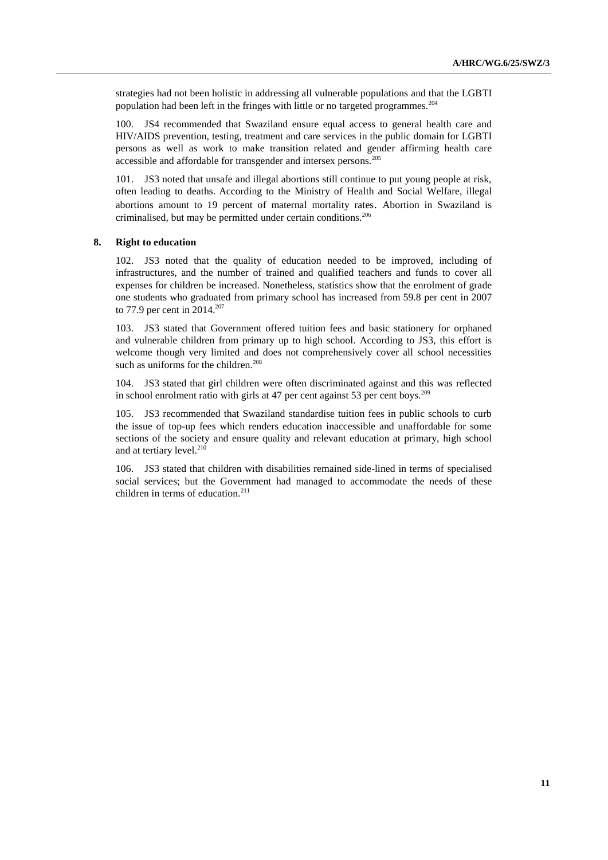strategies had not been holistic in addressing all vulnerable populations and that the LGBTI population had been left in the fringes with little or no targeted programmes.<sup>204</sup>

100. JS4 recommended that Swaziland ensure equal access to general health care and HIV/AIDS prevention, testing, treatment and care services in the public domain for LGBTI persons as well as work to make transition related and gender affirming health care accessible and affordable for transgender and intersex persons.<sup>205</sup>

101. JS3 noted that unsafe and illegal abortions still continue to put young people at risk, often leading to deaths. According to the Ministry of Health and Social Welfare, illegal abortions amount to 19 percent of maternal mortality rates. Abortion in Swaziland is criminalised, but may be permitted under certain conditions.<sup>206</sup>

### **8. Right to education**

102. JS3 noted that the quality of education needed to be improved, including of infrastructures, and the number of trained and qualified teachers and funds to cover all expenses for children be increased. Nonetheless, statistics show that the enrolment of grade one students who graduated from primary school has increased from 59.8 per cent in 2007 to 77.9 per cent in 2014.<sup>207</sup>

103. JS3 stated that Government offered tuition fees and basic stationery for orphaned and vulnerable children from primary up to high school. According to JS3, this effort is welcome though very limited and does not comprehensively cover all school necessities such as uniforms for the children.<sup>208</sup>

104. JS3 stated that girl children were often discriminated against and this was reflected in school enrolment ratio with girls at 47 per cent against 53 per cent boys.<sup>209</sup>

105. JS3 recommended that Swaziland standardise tuition fees in public schools to curb the issue of top-up fees which renders education inaccessible and unaffordable for some sections of the society and ensure quality and relevant education at primary, high school and at tertiary level.<sup>210</sup>

106. JS3 stated that children with disabilities remained side-lined in terms of specialised social services; but the Government had managed to accommodate the needs of these children in terms of education.<sup>211</sup>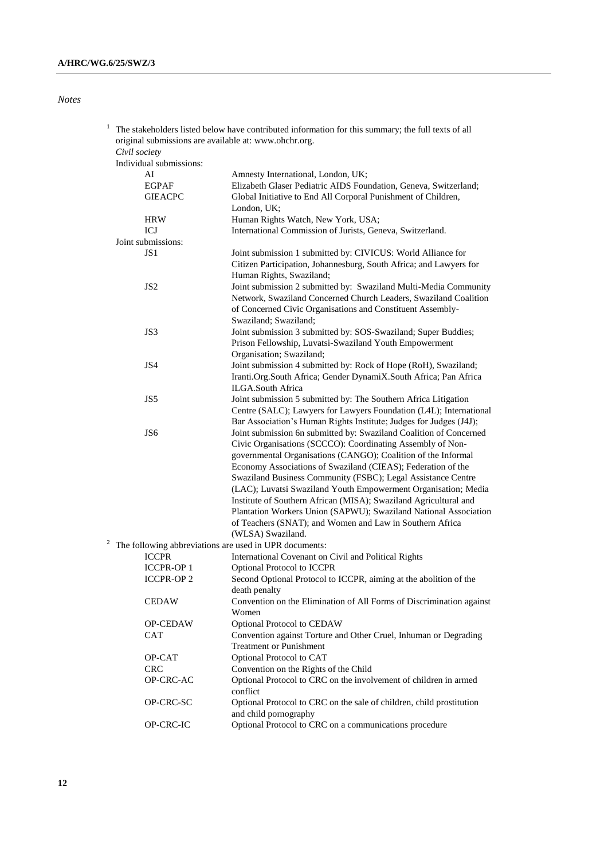*Notes*

| 1 | The stakeholders listed below have contributed information for this summary; the full texts of all |                                                                      |  |
|---|----------------------------------------------------------------------------------------------------|----------------------------------------------------------------------|--|
|   |                                                                                                    | original submissions are available at: www.ohchr.org.                |  |
|   | Civil society                                                                                      |                                                                      |  |
|   | Individual submissions:                                                                            |                                                                      |  |
|   | AI                                                                                                 | Amnesty International, London, UK;                                   |  |
|   | <b>EGPAF</b>                                                                                       | Elizabeth Glaser Pediatric AIDS Foundation, Geneva, Switzerland;     |  |
|   | <b>GIEACPC</b>                                                                                     | Global Initiative to End All Corporal Punishment of Children,        |  |
|   |                                                                                                    | London, UK;                                                          |  |
|   | <b>HRW</b>                                                                                         | Human Rights Watch, New York, USA;                                   |  |
|   | ICJ                                                                                                | International Commission of Jurists, Geneva, Switzerland.            |  |
|   | Joint submissions:                                                                                 |                                                                      |  |
|   | JS <sub>1</sub>                                                                                    | Joint submission 1 submitted by: CIVICUS: World Alliance for         |  |
|   |                                                                                                    | Citizen Participation, Johannesburg, South Africa; and Lawyers for   |  |
|   |                                                                                                    | Human Rights, Swaziland;                                             |  |
|   | JS <sub>2</sub>                                                                                    | Joint submission 2 submitted by: Swaziland Multi-Media Community     |  |
|   |                                                                                                    |                                                                      |  |
|   |                                                                                                    | Network, Swaziland Concerned Church Leaders, Swaziland Coalition     |  |
|   |                                                                                                    | of Concerned Civic Organisations and Constituent Assembly-           |  |
|   |                                                                                                    | Swaziland; Swaziland;                                                |  |
|   | JS3                                                                                                | Joint submission 3 submitted by: SOS-Swaziland; Super Buddies;       |  |
|   |                                                                                                    | Prison Fellowship, Luvatsi-Swaziland Youth Empowerment               |  |
|   |                                                                                                    | Organisation; Swaziland;                                             |  |
|   | JS4                                                                                                | Joint submission 4 submitted by: Rock of Hope (RoH), Swaziland;      |  |
|   |                                                                                                    | Iranti.Org.South Africa; Gender DynamiX.South Africa; Pan Africa     |  |
|   |                                                                                                    | ILGA.South Africa                                                    |  |
|   | JS5                                                                                                | Joint submission 5 submitted by: The Southern Africa Litigation      |  |
|   |                                                                                                    | Centre (SALC); Lawyers for Lawyers Foundation (L4L); International   |  |
|   |                                                                                                    | Bar Association's Human Rights Institute; Judges for Judges (J4J);   |  |
|   | JS <sub>6</sub>                                                                                    | Joint submission 6n submitted by: Swaziland Coalition of Concerned   |  |
|   |                                                                                                    | Civic Organisations (SCCCO): Coordinating Assembly of Non-           |  |
|   |                                                                                                    | governmental Organisations (CANGO); Coalition of the Informal        |  |
|   |                                                                                                    | Economy Associations of Swaziland (CIEAS); Federation of the         |  |
|   |                                                                                                    | Swaziland Business Community (FSBC); Legal Assistance Centre         |  |
|   |                                                                                                    | (LAC); Luvatsi Swaziland Youth Empowerment Organisation; Media       |  |
|   |                                                                                                    | Institute of Southern African (MISA); Swaziland Agricultural and     |  |
|   |                                                                                                    | Plantation Workers Union (SAPWU); Swaziland National Association     |  |
|   |                                                                                                    | of Teachers (SNAT); and Women and Law in Southern Africa             |  |
|   |                                                                                                    | (WLSA) Swaziland.                                                    |  |
|   |                                                                                                    | The following abbreviations are used in UPR documents:               |  |
|   | <b>ICCPR</b>                                                                                       | International Covenant on Civil and Political Rights                 |  |
|   | <b>ICCPR-OP1</b>                                                                                   | <b>Optional Protocol to ICCPR</b>                                    |  |
|   | <b>ICCPR-OP2</b>                                                                                   | Second Optional Protocol to ICCPR, aiming at the abolition of the    |  |
|   |                                                                                                    | death penalty                                                        |  |
|   | <b>CEDAW</b>                                                                                       | Convention on the Elimination of All Forms of Discrimination against |  |
|   |                                                                                                    | Women                                                                |  |
|   | OP-CEDAW                                                                                           | Optional Protocol to CEDAW                                           |  |
|   | CAT                                                                                                | Convention against Torture and Other Cruel, Inhuman or Degrading     |  |
|   |                                                                                                    | <b>Treatment or Punishment</b>                                       |  |
|   |                                                                                                    |                                                                      |  |
|   | OP-CAT                                                                                             | Optional Protocol to CAT                                             |  |
|   | <b>CRC</b>                                                                                         | Convention on the Rights of the Child                                |  |
|   | OP-CRC-AC                                                                                          | Optional Protocol to CRC on the involvement of children in armed     |  |
|   |                                                                                                    | conflict                                                             |  |
|   | OP-CRC-SC                                                                                          | Optional Protocol to CRC on the sale of children, child prostitution |  |
|   |                                                                                                    | and child pornography                                                |  |
|   | OP-CRC-IC                                                                                          | Optional Protocol to CRC on a communications procedure               |  |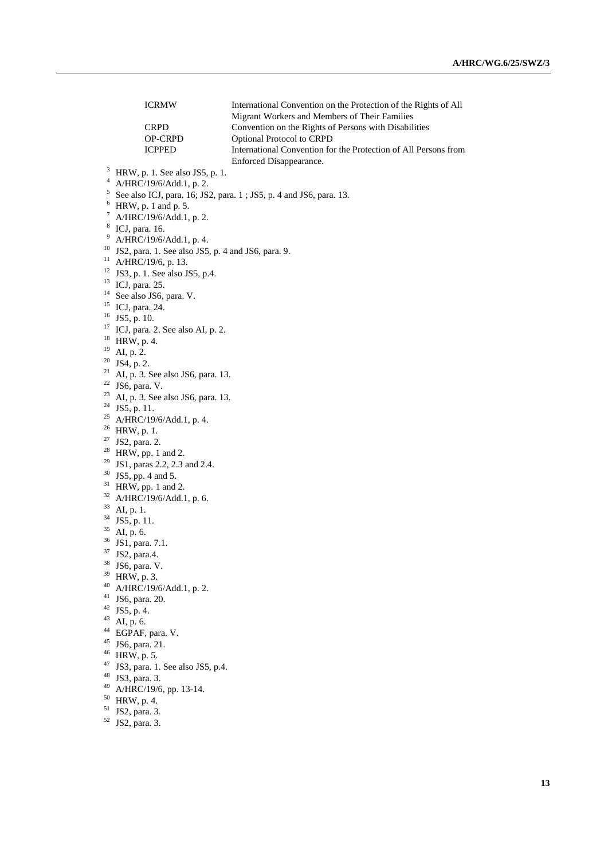|                     | <b>ICRMW</b>                                                       | International Convention on the Protection of the Rights of All |  |
|---------------------|--------------------------------------------------------------------|-----------------------------------------------------------------|--|
|                     |                                                                    | Migrant Workers and Members of Their Families                   |  |
|                     | <b>CRPD</b>                                                        | Convention on the Rights of Persons with Disabilities           |  |
|                     | OP-CRPD                                                            | Optional Protocol to CRPD                                       |  |
|                     | <b>ICPPED</b>                                                      | International Convention for the Protection of All Persons from |  |
|                     |                                                                    | Enforced Disappearance.                                         |  |
| 3<br>$\overline{4}$ | HRW, p. 1. See also JS5, p. 1.                                     |                                                                 |  |
| 5                   | A/HRC/19/6/Add.1, p. 2.                                            |                                                                 |  |
|                     | See also ICJ, para. 16; JS2, para. 1; JS5, p. 4 and JS6, para. 13. |                                                                 |  |
| 6                   | HRW, p. 1 and p. 5.                                                |                                                                 |  |
| 7                   | A/HRC/19/6/Add.1, p. 2.                                            |                                                                 |  |
|                     | <sup>8</sup> ICJ, para. 16.                                        |                                                                 |  |
| 9                   | A/HRC/19/6/Add.1, p. 4.                                            |                                                                 |  |
| 10                  | JS2, para. 1. See also JS5, p. 4 and JS6, para. 9.                 |                                                                 |  |
| 11                  | A/HRC/19/6, p. 13.                                                 |                                                                 |  |
| 12                  | JS3, p. 1. See also JS5, p.4.                                      |                                                                 |  |
| 13                  | ICJ, para. 25.                                                     |                                                                 |  |
|                     | <sup>14</sup> See also JS6, para. V.                               |                                                                 |  |
| 15                  | ICJ, para. 24.                                                     |                                                                 |  |
|                     | $16$ JS5, p. 10.                                                   |                                                                 |  |
|                     | $17$ ICJ, para. 2. See also AI, p. 2.                              |                                                                 |  |
| 18<br>19            | HRW, p. 4.                                                         |                                                                 |  |
|                     | AI, p. 2.                                                          |                                                                 |  |
| 21                  | $20$ JS4, p. 2.                                                    |                                                                 |  |
|                     | AI, p. 3. See also JS6, para. 13.                                  |                                                                 |  |
|                     | $22$ JS6, para. V.                                                 |                                                                 |  |
| 24                  | <sup>23</sup> AI, p. 3. See also JS6, para. 13.                    |                                                                 |  |
| 25                  | JS5, p. 11.                                                        |                                                                 |  |
|                     | A/HRC/19/6/Add.1, p. 4.<br>$^{26}$ HRW, p. 1.                      |                                                                 |  |
| 27                  |                                                                    |                                                                 |  |
|                     | JS2, para. 2.<br><sup>28</sup> HRW, pp. 1 and 2.                   |                                                                 |  |
| 29                  | JS1, paras 2.2, 2.3 and 2.4.                                       |                                                                 |  |
| 30                  | JS5, pp. 4 and 5.                                                  |                                                                 |  |
| 31                  | HRW, pp. 1 and 2.                                                  |                                                                 |  |
|                     | <sup>32</sup> A/HRC/19/6/Add.1, p. 6.                              |                                                                 |  |
| 33                  | AI, p. 1.                                                          |                                                                 |  |
| 34                  | JS5, p. 11.                                                        |                                                                 |  |
| 35                  | AI, p. 6.                                                          |                                                                 |  |
| 36                  | JS1, para. 7.1.                                                    |                                                                 |  |
| 37                  | JS2, para.4.                                                       |                                                                 |  |
| 38                  | JS6, para. V.                                                      |                                                                 |  |
| 39                  | HRW, p. 3.                                                         |                                                                 |  |
| 40                  | A/HRC/19/6/Add.1, p. 2.                                            |                                                                 |  |
|                     | $41$ JS6, para. 20.                                                |                                                                 |  |
| 42                  | JS5, p. 4.                                                         |                                                                 |  |
| 43                  | AI, p. 6.                                                          |                                                                 |  |
|                     | <sup>44</sup> EGPAF, para. V.                                      |                                                                 |  |
| 45                  | JS6, para. 21.                                                     |                                                                 |  |
|                     | $46$ HRW, p. 5.                                                    |                                                                 |  |
| 47                  | JS3, para. 1. See also JS5, p.4.                                   |                                                                 |  |
| 48                  | JS3, para. 3.                                                      |                                                                 |  |
| 49                  | A/HRC/19/6, pp. 13-14.                                             |                                                                 |  |
| 50                  | HRW, p. 4.                                                         |                                                                 |  |
| 51                  | JS2, para. 3.                                                      |                                                                 |  |
| 52                  | JS2, para. 3.                                                      |                                                                 |  |

 $16$ <br> $17$ 

<sup>18</sup> HRW, p. 4. <sup>19</sup> AI, p. 2.  $\frac{20}{21}$ 

<sup>33</sup> AI, p. 1. 34 35<br>36

42 43<br>44

46<br>47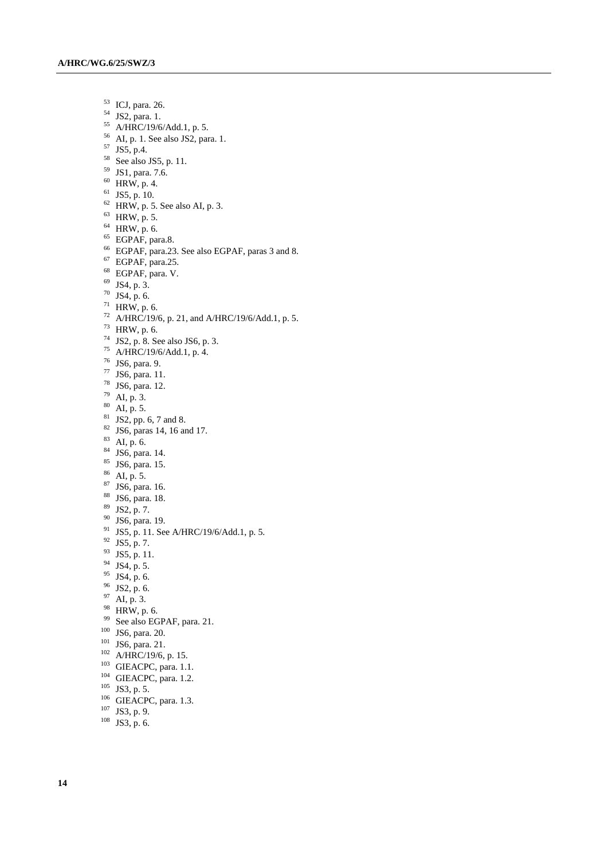- ICJ, para. 26. JS2, para. 1. A/HRC/19/6/Add.1, p. 5. AI, p. 1. See also JS2, para. 1. JS5, p.4. See also JS5, p. 11. JS1, para. 7.6. HRW, p. 4. JS5, p. 10. HRW, p. 5. See also AI, p. 3. HRW, p. 5. HRW, p. 6. EGPAF, para.8. EGPAF, para.23. See also EGPAF, paras 3 and 8. EGPAF, para.25. EGPAF, para. V. JS4, p. 3. JS4, p. 6. HRW, p. 6. A/HRC/19/6, p. 21, and A/HRC/19/6/Add.1, p. 5. HRW, p. 6. JS2, p. 8. See also JS6, p. 3. A/HRC/19/6/Add.1, p. 4. JS6, para. 9. JS6, para. 11. JS6, para. 12. AI, p. 3. AI, p. 5. JS2, pp. 6, 7 and 8. JS6, paras 14, 16 and 17. AI, p. 6. JS6, para. 14.  $85 \text{ JS6, para. } 15.$  AI, p. 5. JS6, para. 16. JS6, para. 18. JS2, p. 7. JS6, para. 19.
- <sup>91</sup> JS5, p. 11. See A/HRC/19/6/Add.1, p. 5.
- JS5, p. 7.
- JS5, p. 11.
- JS4, p. 5.
- 
- JS4, p. 6.
- JS2, p. 6.
- AI, p. 3.
- HRW, p. 6.
- See also EGPAF, para. 21.
- JS6, para. 20.
- <sup>101</sup> JS6, para. 21.
- A/HRC/19/6, p. 15.
- GIEACPC, para. 1.1.
- <sup>104</sup> GIEACPC, para. 1.2.
- JS3, p. 5.
- 
- <sup>106</sup> GIEACPC, para. 1.3.
- $^{107}$  JS3, p. 9.
- JS3, p. 6.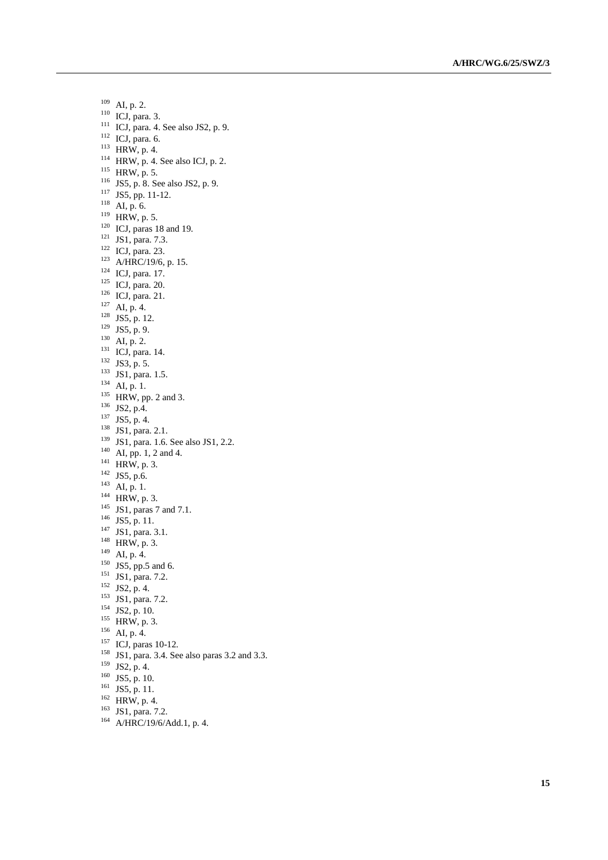AI, p. 2. ICJ, para. 3. ICJ, para. 4. See also JS2, p. 9. ICJ, para. 6.  $^{113}$  HRW, p. 4. HRW, p. 4. See also ICJ, p. 2. HRW, p. 5. 116 JS5, p. 8. See also JS2, p. 9. JS5, pp. 11-12. AI, p. 6. HRW, p. 5. ICJ, paras 18 and 19. <sup>121</sup> JS1, para. 7.3. ICJ, para. 23. A/HRC/19/6, p. 15. ICJ, para. 17. ICJ, para. 20. <sup>126</sup> ICJ, para. 21. AI, p. 4. JS5, p. 12. JS5, p. 9.  $^{130}$  AI, p. 2. <sup>131</sup> ICJ, para. 14. JS3, p. 5. <sup>133</sup> JS1, para. 1.5.  $^{134}$  AI, p. 1. HRW, pp. 2 and 3. <sup>136</sup> JS2, p.4. JS5, p. 4. <sup>138</sup> JS1, para. 2.1. 139 JS1, para. 1.6. See also JS1, 2.2. AI, pp. 1, 2 and 4.  $^{141}$  HRW, p. 3. JS5, p.6.  $^{143}$  AI, p. 1.  $^{144}$  HRW, p. 3. <sup>145</sup> JS1, paras 7 and 7.1. JS5, p. 11. JS1, para. 3.1. <sup>148</sup> HRW, p. 3.  $^{149}$  AI, p. 4. JS5, pp.5 and 6.  $^{151}$  JS1, para. 7.2. JS2, p. 4. JS1, para. 7.2. JS2, p. 10. HRW, p. 3. AI, p. 4. <sup>157</sup> ICJ, paras 10-12. JS1, para. 3.4. See also paras 3.2 and 3.3.

- $^{159}$  JS2, p. 4.
- JS5, p. 10.
- JS5, p. 11.
- 
- HRW, p. 4.
- <sup>163</sup> JS1, para. 7.2.
- <sup>164</sup> A/HRC/19/6/Add.1, p. 4.